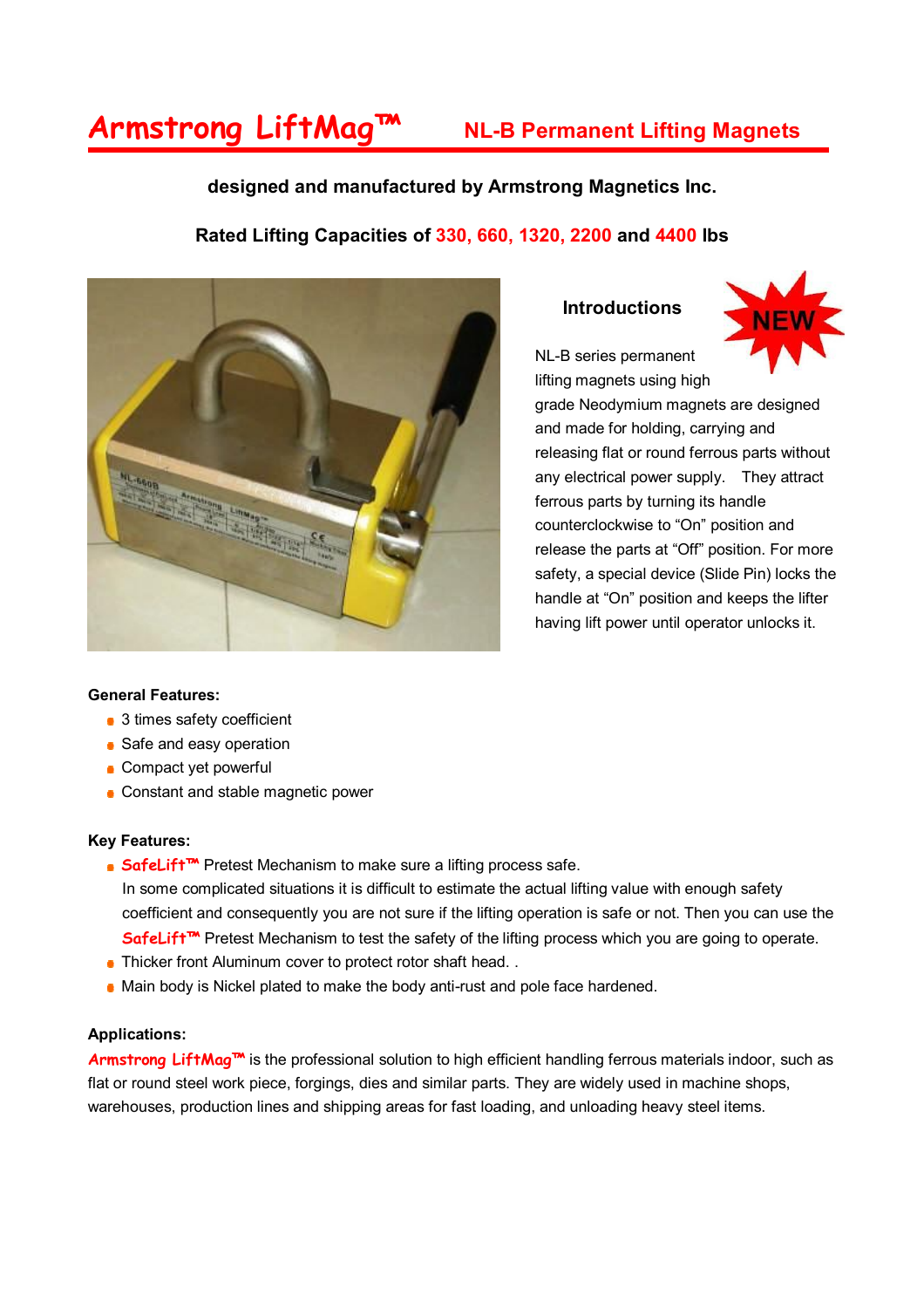## **Armstrong LiftMag™ NL-B Permanent Lifting Magnets**

### **designed and manufactured by Armstrong Magnetics Inc.**

### **Rated Lifting Capacities of 330, 660, 1320, 2200 and 4400 lbs**



#### **Introductions**

NL-B series permanent



lifting magnets using high grade Neodymium magnets are designed and made for holding, carrying and releasing flat or round ferrous parts without any electrical power supply. They attract ferrous parts by turning its handle counterclockwise to "On" position and release the parts at "Off" position. For more safety, a special device (Slide Pin) locks the handle at "On" position and keeps the lifter having lift power until operator unlocks it.

#### **General Features:**

- 3 times safety coefficient
- Safe and easy operation
- **Compact yet powerful**
- Constant and stable magnetic power

#### **Key Features:**

- **SafeLift<sup>™</sup>** Pretest Mechanism to make sure a lifting process safe. In some complicated situations it is difficult to estimate the actual lifting value with enough safety coefficient and consequently you are not sure if the lifting operation is safe or not. Then you can use the **SafeLift™** Pretest Mechanism to test the safety of the lifting process which you are going to operate.
- Thicker front Aluminum cover to protect rotor shaft head...
- Main body is Nickel plated to make the body anti-rust and pole face hardened.

#### **Applications:**

Armstrong LiftMag<sup>™</sup> is the professional solution to high efficient handling ferrous materials indoor, such as flat or round steel work piece, forgings, dies and similar parts. They are widely used in machine shops, warehouses, production lines and shipping areas for fast loading, and unloading heavy steel items.